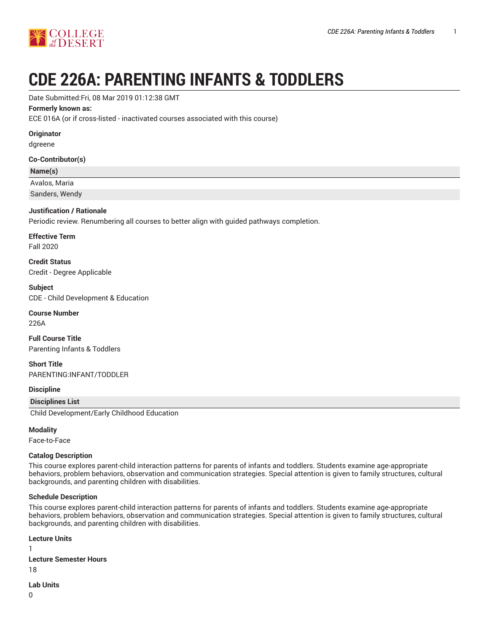

# **CDE 226A: PARENTING INFANTS & TODDLERS**

Date Submitted:Fri, 08 Mar 2019 01:12:38 GMT

# **Formerly known as:**

ECE 016A (or if cross-listed - inactivated courses associated with this course)

# **Originator**

dgreene

# **Co-Contributor(s)**

## **Name(s)**

Avalos, Maria

Sanders, Wendy

# **Justification / Rationale**

Periodic review. Renumbering all courses to better align with guided pathways completion.

**Effective Term** Fall 2020

**Credit Status**

Credit - Degree Applicable

**Subject** CDE - Child Development & Education

# **Course Number**

226A

**Full Course Title** Parenting Infants & Toddlers

**Short Title** PARENTING:INFANT/TODDLER

# **Discipline**

#### **Disciplines List**

Child Development/Early Childhood Education

#### **Modality**

Face-to-Face

#### **Catalog Description**

This course explores parent-child interaction patterns for parents of infants and toddlers. Students examine age-appropriate behaviors, problem behaviors, observation and communication strategies. Special attention is given to family structures, cultural backgrounds, and parenting children with disabilities.

#### **Schedule Description**

This course explores parent-child interaction patterns for parents of infants and toddlers. Students examine age-appropriate behaviors, problem behaviors, observation and communication strategies. Special attention is given to family structures, cultural backgrounds, and parenting children with disabilities.

#### **Lecture Units** 1

**Lecture Semester Hours**

18

**Lab Units**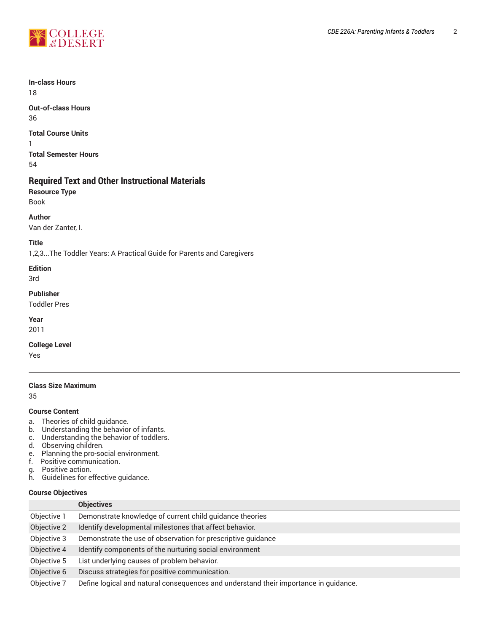

**In-class Hours** 18

**Out-of-class Hours** 36

**Total Course Units** 1 **Total Semester Hours** 54

# **Required Text and Other Instructional Materials**

**Resource Type** Book

**Author**

Van der Zanter, I.

**Title**

1,2,3...The Toddler Years: A Practical Guide for Parents and Caregivers

**Edition**

3rd

**Publisher**

Toddler Pres

**Year**

2011

**College Level**

Yes

# **Class Size Maximum**

35

#### **Course Content**

- a. Theories of child guidance.
- b. Understanding the behavior of infants.
- c. Understanding the behavior of toddlers.
- d. Observing children.
- e. Planning the pro-social environment.
- f. Positive communication.<br>g. Positive action.<br>h. Guidelines for effective g
- Positive action.
- Guidelines for effective guidance.

# **Course Objectives**

|             | <b>Objectives</b>                                                                    |
|-------------|--------------------------------------------------------------------------------------|
| Objective 1 | Demonstrate knowledge of current child guidance theories                             |
| Objective 2 | Identify developmental milestones that affect behavior.                              |
| Objective 3 | Demonstrate the use of observation for prescriptive guidance                         |
| Objective 4 | Identify components of the nurturing social environment                              |
| Objective 5 | List underlying causes of problem behavior.                                          |
| Objective 6 | Discuss strategies for positive communication.                                       |
| Objective 7 | Define logical and natural consequences and understand their importance in guidance. |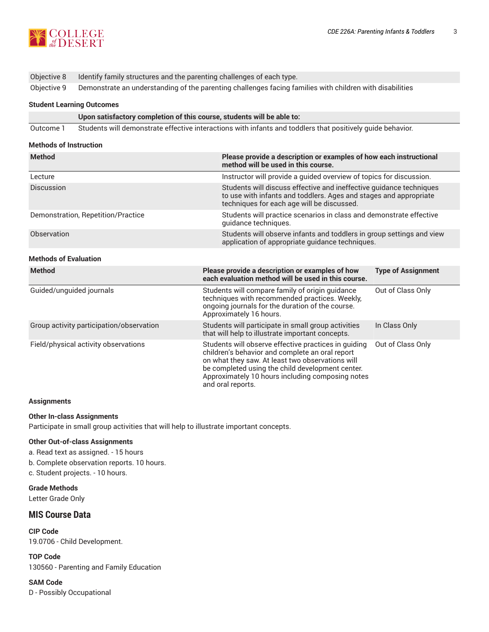

| Objective 8 Identify family structures and the parenting challenges of each type. |
|-----------------------------------------------------------------------------------|
| Althe Ann and Internet College and Controlled the Alther Studies                  |

# Objective 9 Demonstrate an understanding of the parenting challenges facing families with children with disabilities

# **Student Learning Outcomes**

| Upon satisfactory completion of this course, students will be able to: |  |  |  |
|------------------------------------------------------------------------|--|--|--|
|                                                                        |  |  |  |

Outcome 1 Students will demonstrate effective interactions with infants and toddlers that positively guide behavior.

#### **Methods of Instruction**

| <b>Method</b>                      | Please provide a description or examples of how each instructional<br>method will be used in this course.                                                                              |
|------------------------------------|----------------------------------------------------------------------------------------------------------------------------------------------------------------------------------------|
| Lecture                            | Instructor will provide a guided overview of topics for discussion.                                                                                                                    |
| <b>Discussion</b>                  | Students will discuss effective and ineffective guidance techniques<br>to use with infants and toddlers. Ages and stages and appropriate<br>techniques for each age will be discussed. |
| Demonstration, Repetition/Practice | Students will practice scenarios in class and demonstrate effective<br>quidance techniques.                                                                                            |
| Observation                        | Students will observe infants and toddlers in group settings and view<br>application of appropriate guidance techniques.                                                               |
|                                    |                                                                                                                                                                                        |

# **Methods of Evaluation**

| <b>Method</b>                            | Please provide a description or examples of how<br>each evaluation method will be used in this course.                                                                                                                                                                                   | <b>Type of Assignment</b> |
|------------------------------------------|------------------------------------------------------------------------------------------------------------------------------------------------------------------------------------------------------------------------------------------------------------------------------------------|---------------------------|
| Guided/unguided journals                 | Students will compare family of origin guidance<br>techniques with recommended practices. Weekly,<br>ongoing journals for the duration of the course.<br>Approximately 16 hours.                                                                                                         | Out of Class Only         |
| Group activity participation/observation | Students will participate in small group activities<br>that will help to illustrate important concepts.                                                                                                                                                                                  | In Class Only             |
| Field/physical activity observations     | Students will observe effective practices in guiding<br>children's behavior and complete an oral report<br>on what they saw. At least two observations will<br>be completed using the child development center.<br>Approximately 10 hours including composing notes<br>and oral reports. | Out of Class Only         |

#### **Assignments**

#### **Other In-class Assignments**

Participate in small group activities that will help to illustrate important concepts.

#### **Other Out-of-class Assignments**

- a. Read text as assigned. 15 hours
- b. Complete observation reports. 10 hours.

c. Student projects. - 10 hours.

**Grade Methods** Letter Grade Only

### **MIS Course Data**

**CIP Code** 19.0706 - Child Development.

**TOP Code** 130560 - Parenting and Family Education

#### **SAM Code**

D - Possibly Occupational